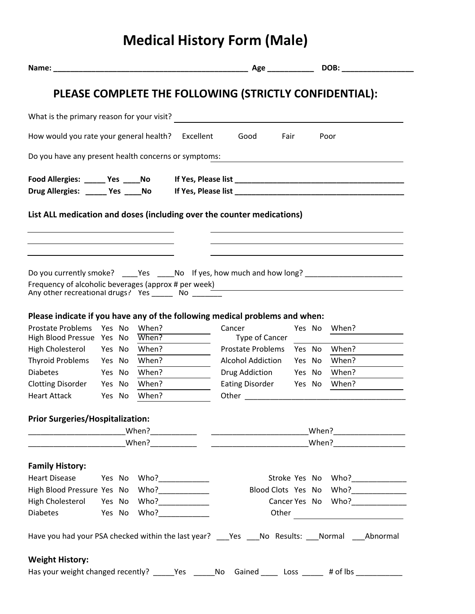## **Medical History Form (Male)**

|                                                       |        |  |                |  |                                                                                                                                     |        |  | DOB:                            |
|-------------------------------------------------------|--------|--|----------------|--|-------------------------------------------------------------------------------------------------------------------------------------|--------|--|---------------------------------|
|                                                       |        |  |                |  | PLEASE COMPLETE THE FOLLOWING (STRICTLY CONFIDENTIAL):                                                                              |        |  |                                 |
|                                                       |        |  |                |  | What is the primary reason for your visit?                                                                                          |        |  |                                 |
| How would you rate your general health? Excellent     |        |  |                |  | Good                                                                                                                                | Fair   |  | Poor                            |
| Do you have any present health concerns or symptoms:  |        |  |                |  |                                                                                                                                     |        |  |                                 |
| Food Allergies: _______ Yes _____ No                  |        |  |                |  |                                                                                                                                     |        |  |                                 |
|                                                       |        |  |                |  | List ALL medication and doses (including over the counter medications)                                                              |        |  |                                 |
|                                                       |        |  |                |  |                                                                                                                                     |        |  |                                 |
|                                                       |        |  |                |  | Do you currently smoke? ____Yes _____No lf yes, how much and how long? ____________________________                                 |        |  |                                 |
| Any other recreational drugs? Yes _______ No ______   |        |  |                |  | Frequency of alcoholic beverages (approx # per week) Manuscription and the manuscription of alcoholic beverages (approx # per week) |        |  |                                 |
|                                                       |        |  |                |  | Please indicate if you have any of the following medical problems and when:                                                         |        |  |                                 |
| <b>Prostate Problems</b><br>High Blood Pressue Yes No | Yes No |  | When?<br>When? |  | Cancer<br>Type of Cancer                                                                                                            |        |  | Yes No When?                    |
| High Cholesterol Yes No                               |        |  | When?          |  | <b>Prostate Problems</b>                                                                                                            |        |  | Yes No When?                    |
| Thyroid Problems Yes No                               |        |  | When?          |  | <b>Alcohol Addiction</b>                                                                                                            | Yes No |  | When?                           |
| <b>Diabetes</b>                                       | Yes No |  | When?          |  | Drug Addiction                                                                                                                      | Yes No |  | When?                           |
| Clotting Disorder Yes No                              |        |  | When?          |  | Eating Disorder Yes No When?                                                                                                        |        |  |                                 |
| <b>Heart Attack</b>                                   | Yes No |  | When?          |  |                                                                                                                                     |        |  |                                 |
| <b>Prior Surgeries/Hospitalization:</b>               |        |  |                |  |                                                                                                                                     |        |  |                                 |
|                                                       |        |  |                |  | _When?______________________                                                                                                        |        |  |                                 |
| <b>Family History:</b>                                |        |  |                |  |                                                                                                                                     |        |  |                                 |
| Heart Disease Yes No Who?____________                 |        |  |                |  |                                                                                                                                     |        |  | Stroke Yes No Who?_____________ |
| High Blood Pressure Yes No Who?                       |        |  |                |  |                                                                                                                                     |        |  | Blood Clots Yes No Who?         |
|                                                       |        |  |                |  |                                                                                                                                     |        |  | Cancer Yes No Who?              |
| Diabetes Yes No Who?                                  |        |  |                |  |                                                                                                                                     |        |  | Other                           |
|                                                       |        |  |                |  | Have you had your PSA checked within the last year? _____Yes _____No Results: ____Normal _____Abnormal                              |        |  |                                 |
| <b>Weight History:</b>                                |        |  |                |  |                                                                                                                                     |        |  |                                 |
|                                                       |        |  |                |  | Has your weight changed recently? _____Yes ______No Gained _____ Loss _____ # of lbs ___________                                    |        |  |                                 |